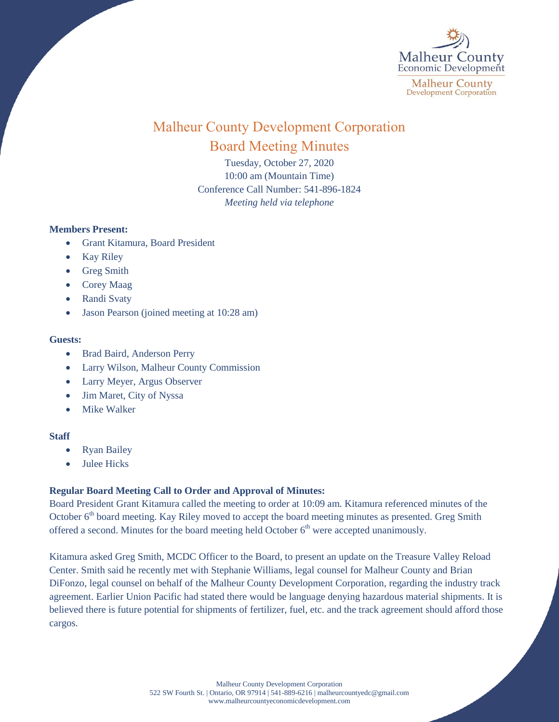

# Malheur County Development Corporation Board Meeting Minutes

Tuesday, October 27, 2020 10:00 am (Mountain Time) Conference Call Number: 541-896-1824 *Meeting held via telephone*

# **Members Present:**

- Grant Kitamura, Board President
- Kay Riley
- Greg Smith
- Corey Maag
- Randi Svaty
- Jason Pearson (joined meeting at 10:28 am)

### **Guests:**

- Brad Baird, Anderson Perry
- Larry Wilson, Malheur County Commission
- Larry Meyer, Argus Observer
- Jim Maret, City of Nyssa
- Mike Walker

# **Staff**

- Ryan Bailey
- Julee Hicks

# **Regular Board Meeting Call to Order and Approval of Minutes:**

Board President Grant Kitamura called the meeting to order at 10:09 am. Kitamura referenced minutes of the October 6<sup>th</sup> board meeting. Kay Riley moved to accept the board meeting minutes as presented. Greg Smith offered a second. Minutes for the board meeting held October  $6<sup>th</sup>$  were accepted unanimously.

Kitamura asked Greg Smith, MCDC Officer to the Board, to present an update on the Treasure Valley Reload Center. Smith said he recently met with Stephanie Williams, legal counsel for Malheur County and Brian DiFonzo, legal counsel on behalf of the Malheur County Development Corporation, regarding the industry track agreement. Earlier Union Pacific had stated there would be language denying hazardous material shipments. It is believed there is future potential for shipments of fertilizer, fuel, etc. and the track agreement should afford those cargos.